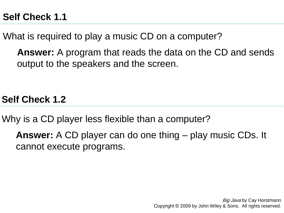What is required to play a music CD on a computer?

**Answer:** A program that reads the data on the CD and sends output to the speakers and the screen.

**Self Check 1.2**

Why is a CD player less flexible than a computer?

**Answer:** A CD player can do one thing – play music CDs. It cannot execute programs.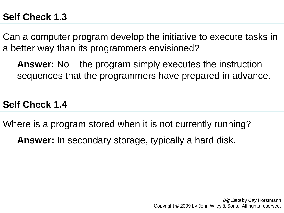Can a computer program develop the initiative to execute tasks in a better way than its programmers envisioned?

**Answer:** No – the program simply executes the instruction sequences that the programmers have prepared in advance.

#### **Self Check 1.4**

Where is a program stored when it is not currently running?

**Answer:** In secondary storage, typically a hard disk.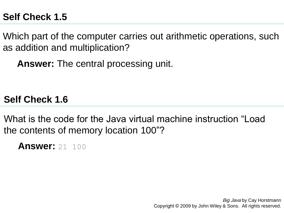Which part of the computer carries out arithmetic operations, such as addition and multiplication?

**Answer:** The central processing unit.

**Self Check 1.6**

What is the code for the Java virtual machine instruction "Load" the contents of memory location 100"?

**Answer:** 21 100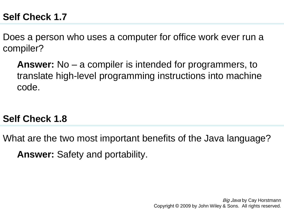Does a person who uses a computer for office work ever run a compiler?

**Answer:** No – a compiler is intended for programmers, to translate high-level programming instructions into machine code.

### **Self Check 1.8**

What are the two most important benefits of the Java language? **Answer:** Safety and portability.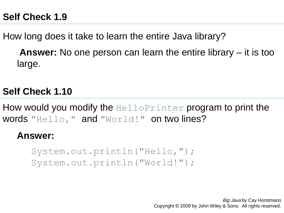How long does it take to learn the entire Java library?

**Answer:** No one person can learn the entire library – it is too large.

# **Self Check 1.10**

How would you modify the HelloPrinter program to print the words "Hello," and "World!" on two lines?

#### **Answer:**

System.out.println("Hello,"); System.out.println("World!");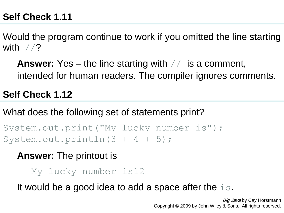Would the program continue to work if you omitted the line starting with  $//?$ 

**Answer:** Yes – the line starting with // is a comment, intended for human readers. The compiler ignores comments.

**Self Check 1.12**

What does the following set of statements print?

System.out.print("My lucky number is"); System.out.println $(3 + 4 + 5)$ ;

**Answer:** The printout is

My lucky number is12

It would be a good idea to add a space after the is.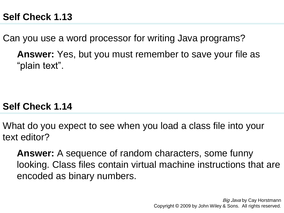Can you use a word processor for writing Java programs?

**Answer:** Yes, but you must remember to save your file as "plain text".

## **Self Check 1.14**

What do you expect to see when you load a class file into your text editor?

**Answer:** A sequence of random characters, some funny looking. Class files contain virtual machine instructions that are encoded as binary numbers.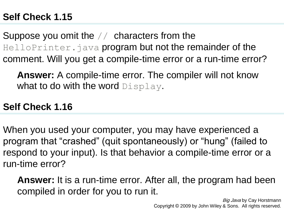Suppose you omit the // characters from the HelloPrinter.java program but not the remainder of the comment. Will you get a compile-time error or a run-time error?

**Answer:** A compile-time error. The compiler will not know what to do with the word Display.

### **Self Check 1.16**

When you used your computer, you may have experienced a program that "crashed" (quit spontaneously) or "hung" (failed to respond to your input). Is that behavior a compile-time error or a run-time error?

**Answer:** It is a run-time error. After all, the program had been compiled in order for you to run it.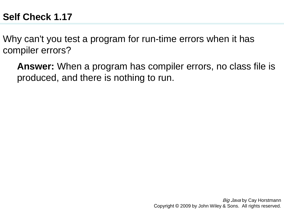Why can't you test a program for run-time errors when it has compiler errors?

**Answer:** When a program has compiler errors, no class file is produced, and there is nothing to run.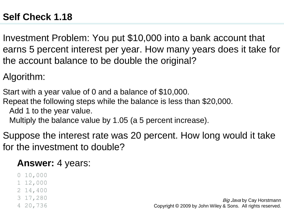Investment Problem: You put \$10,000 into a bank account that earns 5 percent interest per year. How many years does it take for the account balance to be double the original?

Algorithm:

Start with a year value of 0 and a balance of \$10,000.

Repeat the following steps while the balance is less than \$20,000.

Add 1 to the year value.

Multiply the balance value by 1.05 (a 5 percent increase).

Suppose the interest rate was 20 percent. How long would it take for the investment to double?

### **Answer:** 4 years:

- 0 10,000
- 1 12,000
- 2 14,400
- 3 17,280
- 4 20,736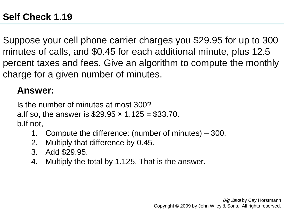Suppose your cell phone carrier charges you \$29.95 for up to 300 minutes of calls, and \$0.45 for each additional minute, plus 12.5 percent taxes and fees. Give an algorithm to compute the monthly charge for a given number of minutes.

## **Answer:**

Is the number of minutes at most 300? a.If so, the answer is  $$29.95 \times 1.125 = $33.70$ . b.If not,

- 1. Compute the difference: (number of minutes) 300.
- 2. Multiply that difference by 0.45.
- 3. Add \$29.95.
- 4. Multiply the total by 1.125. That is the answer.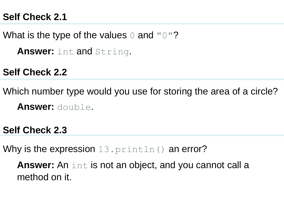What is the type of the values  $\circ$  and " $\circ$ "?

**Answer:** int and String.

**Self Check 2.2**

Which number type would you use for storing the area of a circle? **Answer:** double.

**Self Check 2.3**

Why is the expression  $13$ .  $printIn()$  an error?

**Answer:** An int is not an object, and you cannot call a method on it.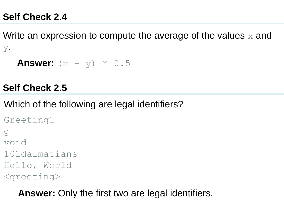Write an expression to compute the average of the values  $\times$  and y.

```
Answer: (x + y) * 0.5
```
### **Self Check 2.5**

Which of the following are legal identifiers?

```
Greeting1 
g 
void 
101dalmatians 
Hello, World 
<greeting>
```
**Answer:** Only the first two are legal identifiers.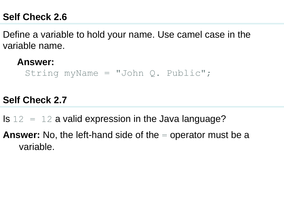Define a variable to hold your name. Use camel case in the variable name.

**Answer:**

String myName = "John  $Q$ . Public";

#### **Self Check 2.7**

Is  $12 = 12$  a valid expression in the Java language?

**Answer:** No, the left-hand side of the = operator must be a variable.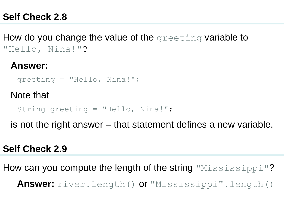How do you change the value of the greeting variable to "Hello, Nina!"?

#### **Answer:**

greeting = "Hello, Nina!";

Note that

String greeting = "Hello, Nina!";

is not the right answer – that statement defines a new variable.

#### **Self Check 2.9**

How can you compute the length of the string "Mississippi"? **Answer:** river.length() or "Mississippi".length()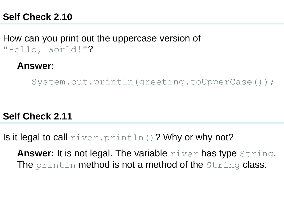How can you print out the uppercase version of "Hello, World!"?

#### **Answer:**

System.out.println(greeting.toUpperCase());

#### **Self Check 2.11**

Is it legal to call  $river.printIn()$ ? Why or why not?

**Answer:** It is not legal. The variable river has type String. The println method is not a method of the String class.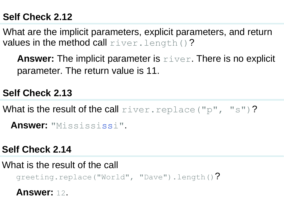What are the implicit parameters, explicit parameters, and return values in the method call  $river.length()$ ?

**Answer:** The implicit parameter is  $r \text{ is } r$ . There is no explicit parameter. The return value is 11.

## **Self Check 2.13**

What is the result of the call  $river.replace('pp'', "s")$ ?

 **Answer:** "Missississi".

### **Self Check 2.14**

What is the result of the call greeting.replace("World", "Dave").length()?

**Answer:** 12.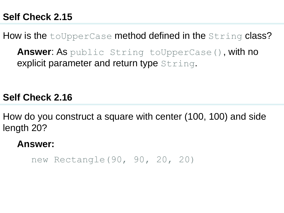How is the toUpperCase method defined in the String class?

**Answer**: As public String toUpperCase(), with no explicit parameter and return type String.

**Self Check 2.16**

How do you construct a square with center (100, 100) and side length 20?

**Answer:**

new Rectangle(90, 90, 20, 20)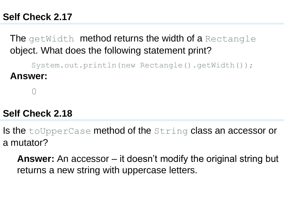The getWidth method returns the width of a Rectangle object. What does the following statement print?

System.out.println(new Rectangle().getWidth()); **Answer:**

0

### **Self Check 2.18**

Is the toUpperCase method of the String class an accessor or a mutator?

**Answer:** An accessor – it doesn't modify the original string but returns a new string with uppercase letters.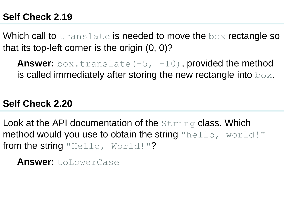Which call to  $\text{translate}$  is needed to move the box rectangle so that its top-left corner is the origin (0, 0)?

Answer: box.translate(-5, -10), provided the method is called immediately after storing the new rectangle into  $\log x$ .

#### **Self Check 2.20**

Look at the API documentation of the String class. Which method would you use to obtain the string "hello, world!" from the string "Hello, World!"?

**Answer:** toLowerCase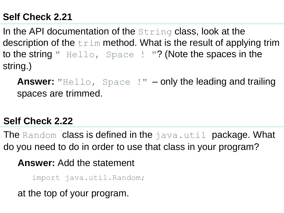In the API documentation of the  $String$  class, look at the description of the  $trim$  method. What is the result of applying trim to the string " Hello, Space ! "? (Note the spaces in the string.)

Answer: "Hello, Space !" – only the leading and trailing spaces are trimmed.

# **Self Check 2.22**

The Random class is defined in the java.util package. What do you need to do in order to use that class in your program?

**Answer:** Add the statement

import java.util.Random;

at the top of your program.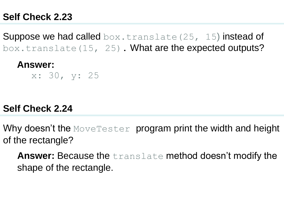**Suppose we had called** box.translate(25, 15) instead of box.translate(15, 25). What are the expected outputs?

#### **Answer:**

x: 30, y: 25

### **Self Check 2.24**

Why doesn't the MoveTester program print the width and height of the rectangle?

**Answer:** Because the translate method doesn't modify the shape of the rectangle.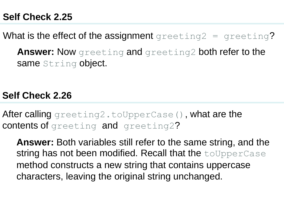What is the effect of the assignment greeting2 = greeting?

**Answer:** Now greeting and greeting2 both refer to the same String object.

### **Self Check 2.26**

After calling greeting2.toUpperCase(), what are the contents of greeting and greeting2?

**Answer:** Both variables still refer to the same string, and the string has not been modified. Recall that the toUpperCase method constructs a new string that contains uppercase characters, leaving the original string unchanged.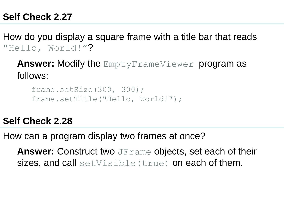How do you display a square frame with a title bar that reads "Hello, World!"?

**Answer:** Modify the EmptyFrameViewer program as follows:

```
frame.setSize(300, 300);
frame.setTitle("Hello, World!");
```
# **Self Check 2.28**

How can a program display two frames at once?

**Answer:** Construct two JFrame objects, set each of their sizes, and call setVisible (true) on each of them.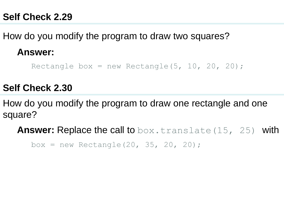How do you modify the program to draw two squares?

#### **Answer:**

Rectangle box = new Rectangle(5, 10, 20, 20);

## **Self Check 2.30**

How do you modify the program to draw one rectangle and one square?

**Answer:** Replace the call to box.translate(15, 25) with

box = new Rectangle(20, 35, 20, 20);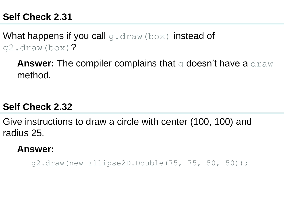What happens if you call q.draw(box) instead of g2.draw(box)?

**Answer:** The compiler complains that g doesn't have a draw method.

### **Self Check 2.32**

Give instructions to draw a circle with center (100, 100) and radius 25.

#### **Answer:**

g2.draw(new Ellipse2D.Double(75, 75, 50, 50));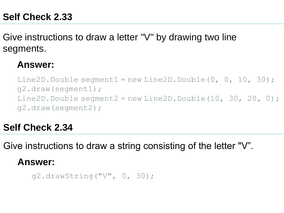Give instructions to draw a letter "V" by drawing two line segments.

#### **Answer:**

Line2D.Double seqment $1 = new Line2D.Double(0, 0, 10, 30);$ g2.draw(segment1); Line2D.Double segment $2 = new Line2D.Double(10, 30, 20, 0);$ g2.draw(segment2);

## **Self Check 2.34**

Give instructions to draw a string consisting of the letter "V".

### **Answer:**

g2.drawString("V", 0, 30);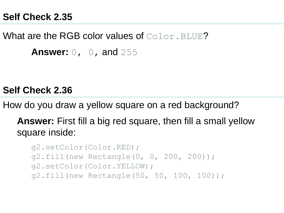What are the RGB color values of Color. BLUE? **Answer:** 0, 0, and 255

#### **Self Check 2.36**

How do you draw a yellow square on a red background?

**Answer:** First fill a big red square, then fill a small yellow square inside:

```
g2.setColor(Color.RED);
g2.fill(new Rectangle(0, 0, 200, 200));
g2.setColor(Color.YELLOW);
g2.fill(new Rectangle(50, 50, 100, 100));
```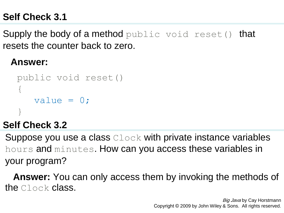**Supply the body of a method** public void reset() that resets the counter back to zero.

### **Answer:**

```
public void reset()
{
   value = 0;
}
```
## **Self Check 3.2**

Suppose you use a class Clock with private instance variables hours and minutes. How can you access these variables in your program?

 **Answer:** You can only access them by invoking the methods of the Clock class.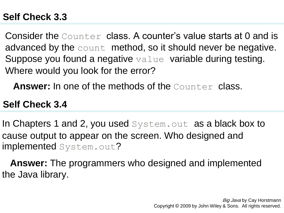Consider the Counter class. A counter's value starts at 0 and is advanced by the count method, so it should never be negative. Suppose you found a negative value variable during testing. Where would you look for the error?

**Answer:** In one of the methods of the Counter class.

### **Self Check 3.4**

In Chapters 1 and 2, you used System.out as a black box to cause output to appear on the screen. Who designed and implemented System.out?

 **Answer:** The programmers who designed and implemented the Java library.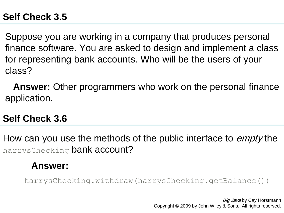Suppose you are working in a company that produces personal finance software. You are asked to design and implement a class for representing bank accounts. Who will be the users of your class?

 **Answer:** Other programmers who work on the personal finance application.

## **Self Check 3.6**

How can you use the methods of the public interface to *empty* the harrysChecking bank account?

#### **Answer:**

harrysChecking.withdraw(harrysChecking.getBalance())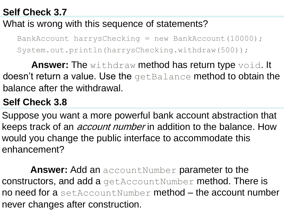## What is wrong with this sequence of statements?

BankAccount harrysChecking = new BankAccount(10000); System.out.println(harrysChecking.withdraw(500));

**Answer:** The withdraw method has return type void. It doesn't return a value. Use the getBalance method to obtain the balance after the withdrawal.

# **Self Check 3.8**

Suppose you want a more powerful bank account abstraction that keeps track of an *account number* in addition to the balance. How would you change the public interface to accommodate this enhancement?

**Answer:** Add an accountNumber parameter to the constructors, and add a getAccountNumber method. There is no need for a setAccountNumber method – the account number never changes after construction.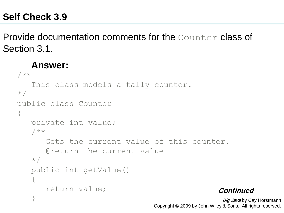Provide documentation comments for the Counter class of Section 3.1.

#### **Answer:**

```
Big Java by Cay Horstmann
/**
    This class models a tally counter.
\star /
public class Counter
\left\{ \right. private int value;
    /**
        Gets the current value of this counter.
        @return the current value
   \star /
    public int getValue()
\{ return value;
     }
                                                      Continued
```
Copyright © 2009 by John Wiley & Sons. All rights reserved.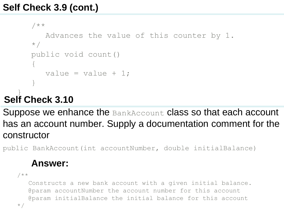```
 /**
       Advances the value of this counter by 1.
   \star /
    public void count()
    {
      value = value + 1;
 }
```
Suppose we enhance the BankAccount class so that each account has an account number. Supply a documentation comment for the constructor

public BankAccount(int accountNumber, double initialBalance)

# **Answer:**

```
/** 
    Constructs a new bank account with a given initial balance. 
   @param accountNumber the account number for this account 
   @param initialBalance the initial balance for this account 
*/
```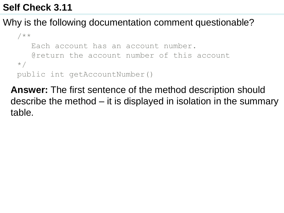### Why is the following documentation comment questionable?

```
/** 
    Each account has an account number. 
    @return the account number of this account 
*/
public int getAccountNumber()
```
 **Answer:** The first sentence of the method description should describe the method – it is displayed in isolation in the summary table.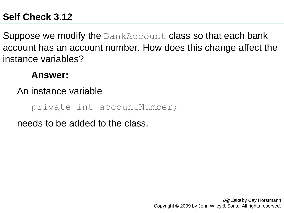Suppose we modify the BankAccount class so that each bank account has an account number. How does this change affect the instance variables?

## **Answer:**

### An instance variable

private int accountNumber;

needs to be added to the class.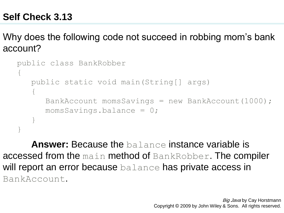Why does the following code not succeed in robbing mom's bank account?

```
public class BankRobber
{
    public static void main(String[] args)
\{ BankAccount momsSavings = new BankAccount(1000);
       momsSavings.balance = 0;
    }
}
```
**Answer:** Because the balance instance variable is accessed from the main method of BankRobber. The compiler will report an error because balance has private access in BankAccount.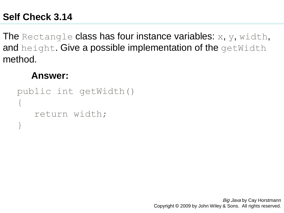The Rectangle class has four instance variables:  $x, y, width,$ and height. Give a possible implementation of the getWidth method.

#### **Answer:**

```
public int getWidth()
\{ return width;
}
```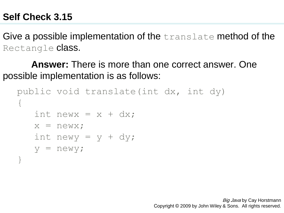Give a possible implementation of the translate method of the Rectangle **class**.

**Answer:** There is more than one correct answer. One possible implementation is as follows:

```
public void translate(int dx, int dy)
\left\{ \right.int new x = x + dx;
   x = newx;
   int newy = y + dy;
   y = newy;}
```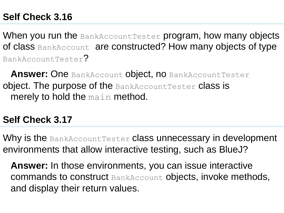When you run the BankAccountTester program, how many objects of class BankAccount are constructed? How many objects of type BankAccountTester?

**Answer: One BankAccount object, no BankAccountTester** object. The purpose of the BankAccountTester class is merely to hold the main method.

# **Self Check 3.17**

Why is the BankAccountTester class unnecessary in development environments that allow interactive testing, such as BlueJ?

 **Answer:** In those environments, you can issue interactive commands to construct BankAccount objects, invoke methods, and display their return values.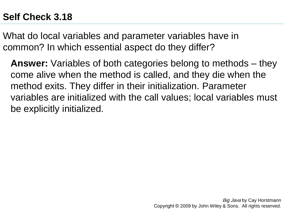What do local variables and parameter variables have in common? In which essential aspect do they differ?

 **Answer:** Variables of both categories belong to methods – they come alive when the method is called, and they die when the method exits. They differ in their initialization. Parameter variables are initialized with the call values; local variables must be explicitly initialized.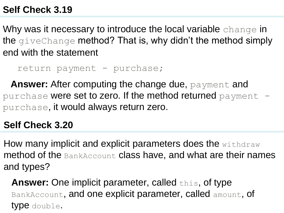Why was it necessary to introduce the local variable change in the giveChange method? That is, why didn't the method simply end with the statement

return payment - purchase;

 **Answer:** After computing the change due, payment and purchase were set to zero. If the method returned payment  $$ purchase, it would always return zero.

### **Self Check 3.20**

How many implicit and explicit parameters does the withdraw method of the BankAccount class have, and what are their names and types?

**Answer:** One implicit parameter, called this, of type BankAccount, and one explicit parameter, called amount, of type double.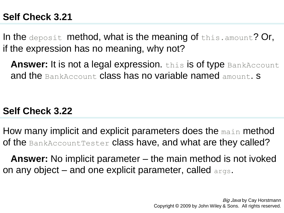In the deposit method, what is the meaning of this.amount? Or, if the expression has no meaning, why not?

**Answer:** It is not a legal expression. this is of type BankAccount and the BankAccount class has no variable named amount. S

### **Self Check 3.22**

How many implicit and explicit parameters does the main method of the BankAccountTester class have, and what are they called?

 **Answer:** No implicit parameter – the main method is not ivoked on any object – and one explicit parameter, called args.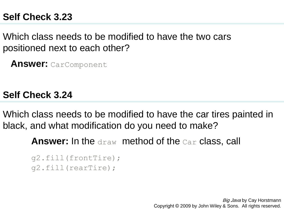Which class needs to be modified to have the two cars positioned next to each other?

 **Answer:** CarComponent

**Self Check 3.24**

Which class needs to be modified to have the car tires painted in black, and what modification do you need to make?

**Answer:** In the draw method of the Car class, call

```
g2.fill(frontTire);
g2.fill(rearTire);
```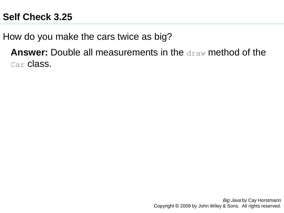How do you make the cars twice as big?

**Answer:** Double all measurements in the draw method of the Car class.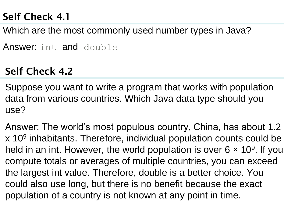Which are the most commonly used number types in Java?

Answer: int and double

# **Self Check 4.2**

Suppose you want to write a program that works with population data from various countries. Which Java data type should you use?

Answer: The world's most populous country, China, has about 1.2 x 10<sup>9</sup> inhabitants. Therefore, individual population counts could be held in an int. However, the world population is over  $6 \times 10^9$ . If you compute totals or averages of multiple countries, you can exceed the largest int value. Therefore, double is a better choice. You could also use long, but there is no benefit because the exact population of a country is not known at any point in time.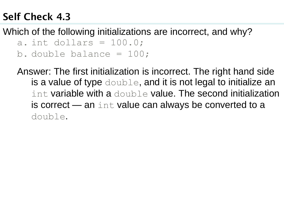Which of the following initializations are incorrect, and why?

- a. int dollars =  $100.0$ ;
- b. double balance = 100;

Answer: The first initialization is incorrect. The right hand side is a value of type double, and it is not legal to initialize an int variable with a double value. The second initialization is correct  $-$  an int value can always be converted to a double.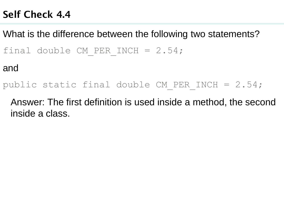What is the difference between the following two statements? final double CM PER INCH =  $2.54;$ and

public static final double CM\_PER\_INCH = 2.54;

 Answer: The first definition is used inside a method, the second inside a class.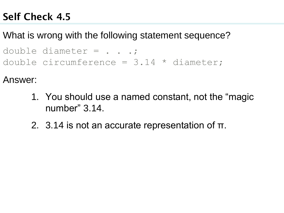## What is wrong with the following statement sequence?

double diameter  $=$  . . .; double circumference = 3.14 \* diameter;

Answer:

- 1. You should use a named constant, not the "magic number"  $3.14$ .
- 2. 3.14 is not an accurate representation of π.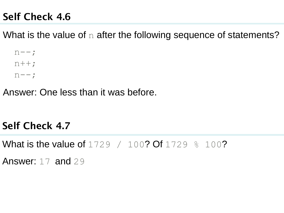What is the value of  $n$  after the following sequence of statements?

 $n--;$  $n++;$  $n--;$ 

Answer: One less than it was before.

# **Self Check 4.7**

What is the value of 1729 / 100? Of 1729  $\frac{100}{2}$ 

Answer: 17 and 29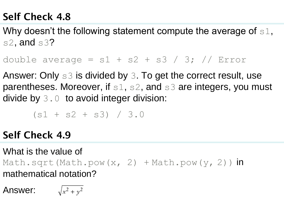Why doesn't the following statement compute the average of  $s1$ , s2, and  $s3$ ?

double average =  $s1 + s2 + s3 / 3$ ; // Error

Answer: Only s3 is divided by 3. To get the correct result, use parentheses. Moreover, if  $s1$ ,  $s2$ , and  $s3$  are integers, you must divide by  $3.0$  to avoid integer division:

 $(s1 + s2 + s3) / 3.0$ 

**Self Check 4.9**

What is the value of Math.sqrt(Math.pow(x, 2) + Math.pow(y, 2))  $\mathsf{in}$ mathematical notation?

Answer:  $\sqrt{x^2 + y^2}$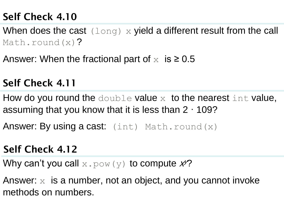When does the cast  $(long)$  x yield a different result from the call Math.round(x)?

Answer: When the fractional part of  $x$  is  $\geq 0.5$ 

# **Self Check 4.11**

How do you round the double value  $x$  to the nearest int value, assuming that you know that it is less than 2 · 109?

Answer: By using a cast:  $(int)$  Math.round  $(x)$ 

## **Self Check 4.12**

Why can't you call  $x.$  pow (y) to compute  $\cancel{\mathcal{X}^2}$ 

Answer:  $x$  is a number, not an object, and you cannot invoke methods on numbers.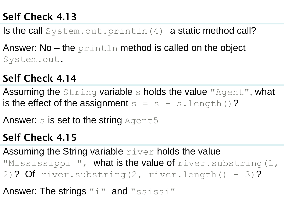Is the call  $System.out.println(4)$  a static method call?

Answer: No  $-$  the println method is called on the object System.out.

# **Self Check 4.14**

Assuming the String variable s holds the value "Agent", what is the effect of the assignment  $s = s + s$ . Length()?

Answer:  $s$  is set to the string  $Aqent5$ 

# **Self Check 4.15**

Assuming the String variable  $r$ iver holds the value "Mississippi ", what is the value of river.substring(1, 2)? Of river.substring(2, river.length() - 3)?

Answer: The strings "i" and "ssissi"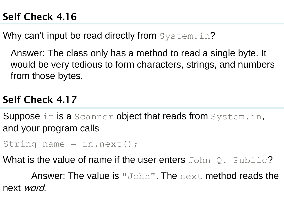Why can't input be read directly from System.in?

 Answer: The class only has a method to read a single byte. It would be very tedious to form characters, strings, and numbers from those bytes.

# **Self Check 4.17**

Suppose in is a Scanner object that reads from System.in, and your program calls

```
String name = in.next();
```
What is the value of name if the user enters  $JohnQ. \quad Public?$ 

Answer: The value is "John". The next method reads the next word.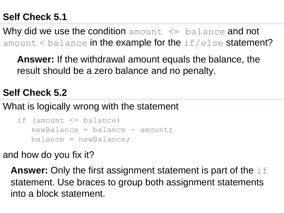Why did we use the condition amount  $\leq$  balance and not amount  $\leq$  balance in the example for the  $\pm$   $\pm$  /else statement?

**Answer:** If the withdrawal amount equals the balance, the result should be a zero balance and no penalty.

## **Self Check 5.2**

What is logically wrong with the statement

```
if (amount <= balance)
   newBalance = balance - amount; balance = newBalance;
```
and how do you fix it?

**Answer:** Only the first assignment statement is part of the  $\pm \pm$  statement. Use braces to group both assignment statements into a block statement.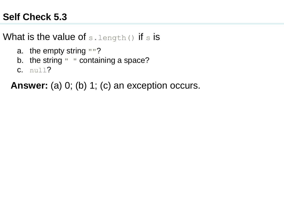## What is the value of  $s.length()$  if s is

- a. the empty string ""?
- b. the string " " containing a space?
- $c.$  null?

 **Answer:** (a) 0; (b) 1; (c) an exception occurs.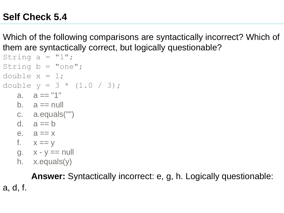Which of the following comparisons are syntactically incorrect? Which of them are syntactically correct, but logically questionable?

```
String a = "1";String b = "one";double x = 1;
double y = 3 * (1.0 / 3);
   a. a == "1"b. a == nullc. a.equals("") 
   d. a == be. a == xf. x == yg. \quad x - y == nullh. x.equals(y)
```
**Answer:** Syntactically incorrect: e, g, h. Logically questionable: a, d, f.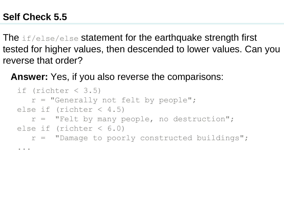...

The if/else/else statement for the earthquake strength first tested for higher values, then descended to lower values. Can you reverse that order?

 **Answer:** Yes, if you also reverse the comparisons:

```
if (richter \langle 3.5 \rangle r = "Generally not felt by people";
else if (richter \langle 4.5 \rangler = "Felt by many people, no destruction";
else if (richter < 6.0) 
    r = "Damage to poorly constructed buildings";
```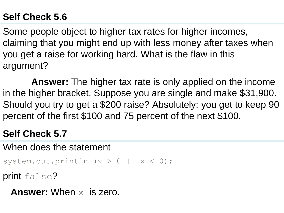Some people object to higher tax rates for higher incomes, claiming that you might end up with less money after taxes when you get a raise for working hard. What is the flaw in this argument?

**Answer:** The higher tax rate is only applied on the income in the higher bracket. Suppose you are single and make \$31,900. Should you try to get a \$200 raise? Absolutely: you get to keep 90 percent of the first \$100 and 75 percent of the next \$100.

### **Self Check 5.7**

When does the statement

```
system.out.println (x > 0 | x < 0);
```
print false?

**Answer:** When x is zero.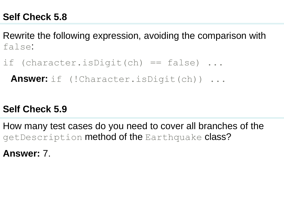Rewrite the following expression, avoiding the comparison with false:

if (character.isDigit(ch) == false) ...

 **Answer:** if (!Character.isDigit(ch)) ...

#### **Self Check 5.9**

How many test cases do you need to cover all branches of the getDescription method of the Earthquake class?

**Answer:** 7.